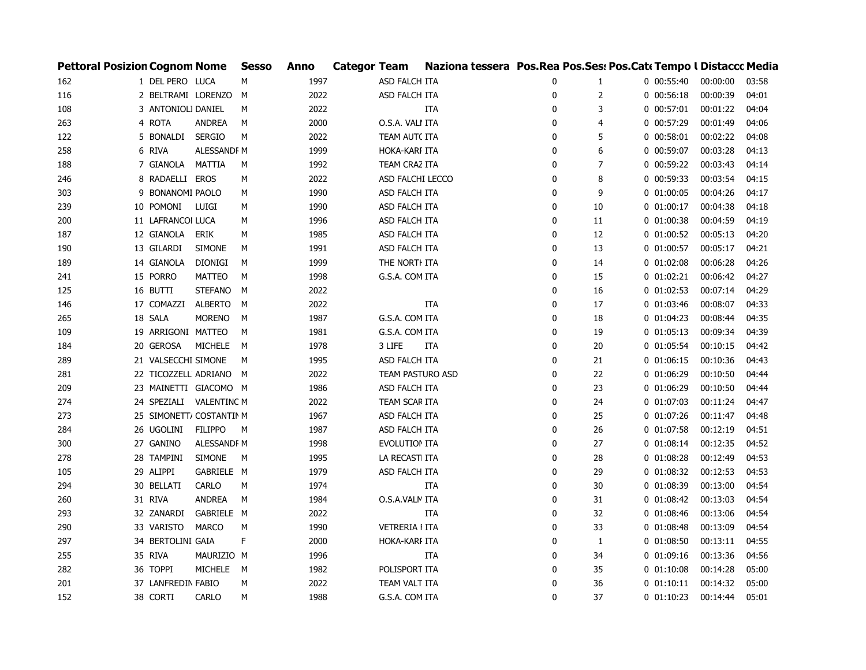| <b>Pettoral Posizion Cognom Nome</b> |                          |                | <b>Sesso</b> | <b>Anno</b> | <b>Categor Team</b> |                       | Naziona tessera Pos. Rea Pos. Ses: Pos. Cat: Tempo I Distaccc Media |              |    |                |          |       |
|--------------------------------------|--------------------------|----------------|--------------|-------------|---------------------|-----------------------|---------------------------------------------------------------------|--------------|----|----------------|----------|-------|
| 162                                  | 1 DEL PERO LUCA          |                | М            | 1997        |                     | ASD FALCH ITA         |                                                                     | 0            | 1  | $0$ 00:55:40   | 00:00:00 | 03:58 |
| 116                                  | 2 BELTRAMI LORENZO       |                | M            | 2022        |                     | ASD FALCH ITA         |                                                                     | 0            | 2  | $0$ $00:56:18$ | 00:00:39 | 04:01 |
| 108                                  | 3 ANTONIOLI DANIEL       |                | М            | 2022        |                     |                       | <b>ITA</b>                                                          | 0            | 3  | $0$ 00:57:01   | 00:01:22 | 04:04 |
| 263                                  | 4 ROTA                   | ANDREA         | М            | 2000        |                     | O.S.A. VALI ITA       |                                                                     | 0            | 4  | 0 00:57:29     | 00:01:49 | 04:06 |
| 122                                  | 5 BONALDI                | <b>SERGIO</b>  | М            | 2022        |                     | TEAM AUT( ITA         |                                                                     | $\mathbf 0$  | 5  | $0$ 00:58:01   | 00:02:22 | 04:08 |
| 258                                  | 6 RIVA                   | ALESSANDF M    |              | 1999        |                     | HOKA-KARI ITA         |                                                                     | $\mathbf 0$  | 6  | 0 00:59:07     | 00:03:28 | 04:13 |
| 188                                  | 7 GIANOLA                | MATTIA         | М            | 1992        |                     | TEAM CRAZ ITA         |                                                                     | $\mathbf 0$  | 7  | $0$ 00:59:22   | 00:03:43 | 04:14 |
| 246                                  | 8 RADAELLI EROS          |                | М            | 2022        |                     | ASD FALCHI LECCO      |                                                                     | $\mathbf{0}$ | 8  | 0 00:59:33     | 00:03:54 | 04:15 |
| 303                                  | 9 BONANOMI PAOLO         |                | М            | 1990        |                     | ASD FALCH ITA         |                                                                     | $\mathbf 0$  | 9  | $0$ $01:00:05$ | 00:04:26 | 04:17 |
| 239                                  | 10 POMONI                | LUIGI          | М            | 1990        |                     | ASD FALCH ITA         |                                                                     | $\mathbf 0$  | 10 | $0$ $01:00:17$ | 00:04:38 | 04:18 |
| 200                                  | 11 LAFRANCOI LUCA        |                | М            | 1996        |                     | ASD FALCH ITA         |                                                                     | $\mathbf{0}$ | 11 | $0$ $01:00:38$ | 00:04:59 | 04:19 |
| 187                                  | 12 GIANOLA               | ERIK           | М            | 1985        |                     | ASD FALCH ITA         |                                                                     | 0            | 12 | $0$ $01:00:52$ | 00:05:13 | 04:20 |
| 190                                  | 13 GILARDI               | <b>SIMONE</b>  | М            | 1991        |                     | ASD FALCH ITA         |                                                                     | 0            | 13 | $0$ $01:00:57$ | 00:05:17 | 04:21 |
| 189                                  | 14 GIANOLA               | <b>DIONIGI</b> | М            | 1999        |                     | THE NORTH ITA         |                                                                     | 0            | 14 | $0$ $01:02:08$ | 00:06:28 | 04:26 |
| 241                                  | 15 PORRO                 | <b>MATTEO</b>  | М            | 1998        |                     | G.S.A. COM ITA        |                                                                     | $\mathbf 0$  | 15 | $0$ $01:02:21$ | 00:06:42 | 04:27 |
| 125                                  | 16 BUTTI                 | <b>STEFANO</b> | M            | 2022        |                     |                       |                                                                     | 0            | 16 | $0$ $01:02:53$ | 00:07:14 | 04:29 |
| 146                                  | 17 COMAZZI               | <b>ALBERTO</b> | М            | 2022        |                     |                       | ITA                                                                 | $\mathbf 0$  | 17 | $0$ $01:03:46$ | 00:08:07 | 04:33 |
| 265                                  | 18 SALA                  | <b>MORENO</b>  | М            | 1987        |                     | G.S.A. COM ITA        |                                                                     | $\mathbf{0}$ | 18 | $0$ 01:04:23   | 00:08:44 | 04:35 |
| 109                                  | 19 ARRIGONI MATTEO       |                | М            | 1981        |                     | G.S.A. COM ITA        |                                                                     | $\mathbf 0$  | 19 | $0$ $01:05:13$ | 00:09:34 | 04:39 |
| 184                                  | 20 GEROSA                | <b>MICHELE</b> | М            | 1978        |                     | 3 LIFE                | ITA                                                                 | $\mathbf{0}$ | 20 | $0$ $01:05:54$ | 00:10:15 | 04:42 |
| 289                                  | 21 VALSECCHI SIMONE      |                | М            | 1995        |                     | ASD FALCH ITA         |                                                                     | $\mathbf 0$  | 21 | 0 01:06:15     | 00:10:36 | 04:43 |
| 281                                  | 22 TICOZZELL ADRIANO     |                | м            | 2022        |                     | TEAM PASTURO ASD      |                                                                     | $\mathbf 0$  | 22 | $0$ $01:06:29$ | 00:10:50 | 04:44 |
| 209                                  | 23 MAINETTI GIACOMO M    |                |              | 1986        |                     | ASD FALCH ITA         |                                                                     | 0            | 23 | 0 01:06:29     | 00:10:50 | 04:44 |
| 274                                  | 24 SPEZIALI VALENTINC M  |                |              | 2022        |                     | TEAM SCAR ITA         |                                                                     | $\mathbf 0$  | 24 | $0$ $01:07:03$ | 00:11:24 | 04:47 |
| 273                                  | 25 SIMONETT/ COSTANTIN M |                |              | 1967        |                     | ASD FALCH ITA         |                                                                     | $\mathbf 0$  | 25 | $0$ $01:07:26$ | 00:11:47 | 04:48 |
| 284                                  | 26 UGOLINI               | <b>FILIPPO</b> | M            | 1987        |                     | ASD FALCH ITA         |                                                                     | 0            | 26 | $0$ $01:07:58$ | 00:12:19 | 04:51 |
| 300                                  | 27 GANINO                | ALESSANDF M    |              | 1998        |                     | EVOLUTION ITA         |                                                                     | $\mathbf 0$  | 27 | 0 01:08:14     | 00:12:35 | 04:52 |
| 278                                  | 28 TAMPINI               | <b>SIMONE</b>  | M            | 1995        |                     | LA RECASTI ITA        |                                                                     | 0            | 28 | $0$ $01:08:28$ | 00:12:49 | 04:53 |
| 105                                  | 29 ALIPPI                | GABRIELE M     |              | 1979        |                     | ASD FALCH ITA         |                                                                     | $\mathbf{0}$ | 29 | $0$ $01:08:32$ | 00:12:53 | 04:53 |
| 294                                  | 30 BELLATI               | <b>CARLO</b>   | М            | 1974        |                     |                       | ITA                                                                 | $\mathbf{0}$ | 30 | $0$ 01:08:39   | 00:13:00 | 04:54 |
| 260                                  | 31 RIVA                  | <b>ANDREA</b>  | M            | 1984        |                     | O.S.A.VALN ITA        |                                                                     | $\mathbf 0$  | 31 | $0$ $01:08:42$ | 00:13:03 | 04:54 |
| 293                                  | 32 ZANARDI               | GABRIELE M     |              | 2022        |                     |                       | ITA                                                                 | $\mathbf 0$  | 32 | $0$ $01:08:46$ | 00:13:06 | 04:54 |
| 290                                  | 33 VARISTO               | <b>MARCO</b>   | M            | 1990        |                     | <b>VETRERIA I ITA</b> |                                                                     | $\mathbf 0$  | 33 | $0$ $01:08:48$ | 00:13:09 | 04:54 |
| 297                                  | 34 BERTOLINI GAIA        |                | F            | 2000        |                     | HOKA-KARI ITA         |                                                                     | $\mathbf 0$  | 1  | $0$ $01:08:50$ | 00:13:11 | 04:55 |
| 255                                  | 35 RIVA                  | MAURIZIO M     |              | 1996        |                     |                       | ITA                                                                 | 0            | 34 | 0 01:09:16     | 00:13:36 | 04:56 |
| 282                                  | 36 TOPPI                 | <b>MICHELE</b> | M            | 1982        |                     | POLISPORT ITA         |                                                                     | 0            | 35 | 0 01:10:08     | 00:14:28 | 05:00 |
| 201                                  | 37 LANFREDIN FABIO       |                | М            | 2022        |                     | TEAM VALT ITA         |                                                                     | 0            | 36 | 0 01:10:11     | 00:14:32 | 05:00 |
| 152                                  | 38 CORTI                 | <b>CARLO</b>   | М            | 1988        |                     | G.S.A. COM ITA        |                                                                     | $\Omega$     | 37 | $0$ $01:10:23$ | 00:14:44 | 05:01 |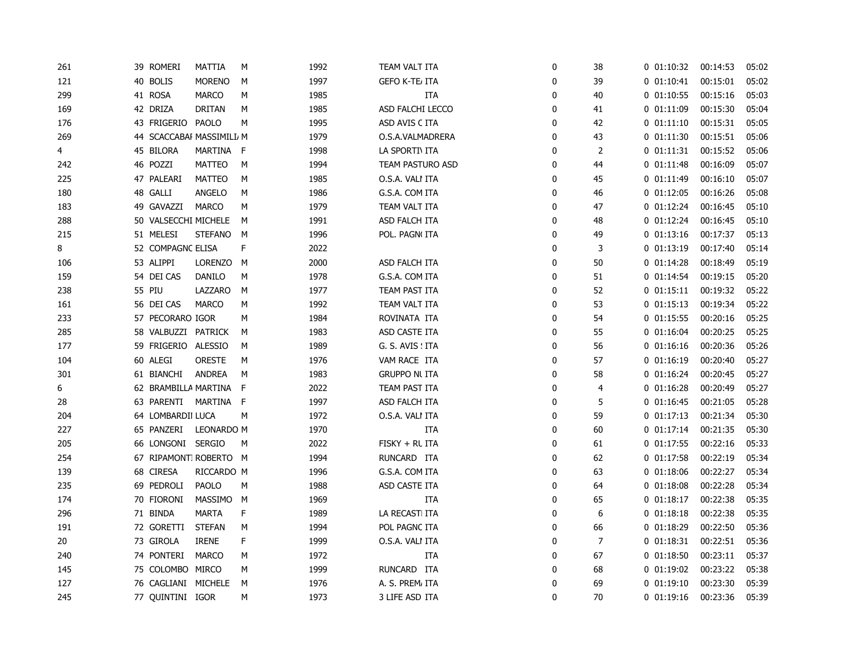| 261 | 39 ROMERI                 | MATTIA         | М            | 1992 | TEAM VALT ITA        | 0            | 38 | $0$ $01:10:32$ | 00:14:53 | 05:02 |
|-----|---------------------------|----------------|--------------|------|----------------------|--------------|----|----------------|----------|-------|
| 121 | 40 BOLIS                  | <b>MORENO</b>  | М            | 1997 | GEFO K-TE/ ITA       | 0            | 39 | 0 01:10:41     | 00:15:01 | 05:02 |
| 299 | 41 ROSA                   | <b>MARCO</b>   | М            | 1985 | ITA                  | 0            | 40 | $0$ $01:10:55$ | 00:15:16 | 05:03 |
| 169 | 42 DRIZA                  | <b>DRITAN</b>  | М            | 1985 | ASD FALCHI LECCO     | 0            | 41 | $0$ $01:11:09$ | 00:15:30 | 05:04 |
| 176 | 43 FRIGERIO               | PAOLO          | М            | 1995 | ASD AVIS C ITA       | 0            | 42 | $0$ $01:11:10$ | 00:15:31 | 05:05 |
| 269 | 44 SCACCABAI MASSIMILI, M |                |              | 1979 | O.S.A.VALMADRERA     | 0            | 43 | 0 01:11:30     | 00:15:51 | 05:06 |
| 4   | 45 BILORA                 | MARTINA F      |              | 1998 | LA SPORTINITA        | 0            | 2  | 0 01:11:31     | 00:15:52 | 05:06 |
| 242 | 46 POZZI                  | <b>MATTEO</b>  | М            | 1994 | TEAM PASTURO ASD     | $\mathbf{0}$ | 44 | $0$ $01:11:48$ | 00:16:09 | 05:07 |
| 225 | 47 PALEARI                | <b>MATTEO</b>  | М            | 1985 | O.S.A. VALI ITA      | 0            | 45 | $0$ $01:11:49$ | 00:16:10 | 05:07 |
| 180 | 48 GALLI                  | ANGELO         | М            | 1986 | G.S.A. COM ITA       | 0            | 46 | $0$ $01:12:05$ | 00:16:26 | 05:08 |
| 183 | 49 GAVAZZI                | <b>MARCO</b>   | М            | 1979 | TEAM VALT ITA        | 0            | 47 | $0$ $01:12:24$ | 00:16:45 | 05:10 |
| 288 | 50 VALSECCHI MICHELE      |                | M            | 1991 | ASD FALCH ITA        | 0            | 48 | $0$ $01:12:24$ | 00:16:45 | 05:10 |
| 215 | 51 MELESI                 | <b>STEFANO</b> | М            | 1996 | POL. PAGN(ITA        | 0            | 49 | 0 01:13:16     | 00:17:37 | 05:13 |
| 8   | 52 COMPAGNC ELISA         |                | F            | 2022 |                      | 0            | 3  | $0$ $01:13:19$ | 00:17:40 | 05:14 |
| 106 | 53 ALIPPI                 | LORENZO M      |              | 2000 | ASD FALCH ITA        | $\mathbf{0}$ | 50 | $0$ $01:14:28$ | 00:18:49 | 05:19 |
| 159 | 54 DEI CAS                | <b>DANILO</b>  | М            | 1978 | G.S.A. COM ITA       | 0            | 51 | $0$ $01:14:54$ | 00:19:15 | 05:20 |
| 238 | 55 PIU                    | LAZZARO        | М            | 1977 | TEAM PAST ITA        | 0            | 52 | 0 01:15:11     | 00:19:32 | 05:22 |
| 161 | 56 DEI CAS                | <b>MARCO</b>   | М            | 1992 | TEAM VALT ITA        | 0            | 53 | $0$ $01:15:13$ | 00:19:34 | 05:22 |
| 233 | 57 PECORARO IGOR          |                | м            | 1984 | ROVINATA ITA         | $\mathbf{0}$ | 54 | $0$ $01:15:55$ | 00:20:16 | 05:25 |
| 285 | 58 VALBUZZI PATRICK       |                | м            | 1983 | ASD CASTE ITA        | 0            | 55 | $0$ 01:16:04   | 00:20:25 | 05:25 |
| 177 | 59 FRIGERIO ALESSIO       |                | м            | 1989 | G. S. AVIS ! ITA     | 0            | 56 | 0 01:16:16     | 00:20:36 | 05:26 |
| 104 | 60 ALEGI                  | ORESTE         | М            | 1976 | VAM RACE ITA         | $\mathbf{0}$ | 57 | $0$ $01:16:19$ | 00:20:40 | 05:27 |
| 301 | 61 BIANCHI                | <b>ANDREA</b>  | М            | 1983 | <b>GRUPPO NI ITA</b> | 0            | 58 | $0$ $01:16:24$ | 00:20:45 | 05:27 |
| 6   | 62 BRAMBILLA MARTINA      |                | $\mathsf{F}$ | 2022 | TEAM PAST ITA        | 0            | 4  | $0$ $01:16:28$ | 00:20:49 | 05:27 |
| 28  | 63 PARENTI                | MARTINA F      |              | 1997 | ASD FALCH ITA        | 0            | 5  | $0$ $01:16:45$ | 00:21:05 | 05:28 |
| 204 | 64 LOMBARDII LUCA         |                | М            | 1972 | o.s.a. vali ita      | 0            | 59 | 0 01:17:13     | 00:21:34 | 05:30 |
| 227 | 65 PANZERI                | LEONARDO M     |              | 1970 | ITA                  | 0            | 60 | 0 01:17:14     | 00:21:35 | 05:30 |
| 205 | 66 LONGONI                | <b>SERGIO</b>  | М            | 2022 | FISKY + RL ITA       | 0            | 61 | $0$ 01:17:55   | 00:22:16 | 05:33 |
| 254 | 67 RIPAMONTI ROBERTO M    |                |              | 1994 | RUNCARD ITA          | 0            | 62 | $0$ $01:17:58$ | 00:22:19 | 05:34 |
| 139 | 68 CIRESA                 | RICCARDO M     |              | 1996 | G.S.A. COM ITA       | 0            | 63 | $0$ $01:18:06$ | 00:22:27 | 05:34 |
| 235 | 69 PEDROLI                | <b>PAOLO</b>   | М            | 1988 | ASD CASTE ITA        | 0            | 64 | 0 01:18:08     | 00:22:28 | 05:34 |
| 174 | 70 FIORONI                | MASSIMO M      |              | 1969 | ITA                  | 0            | 65 | $0$ $01:18:17$ | 00:22:38 | 05:35 |
| 296 | 71 BINDA                  | <b>MARTA</b>   | F            | 1989 | LA RECASTI ITA       | 0            | 6  | 0 01:18:18     | 00:22:38 | 05:35 |
| 191 | 72 GORETTI                | <b>STEFAN</b>  | М            | 1994 | POL PAGNC ITA        | 0            | 66 | $0$ 01:18:29   | 00:22:50 | 05:36 |
| 20  | 73 GIROLA                 | <b>IRENE</b>   | F            | 1999 | o.s.a. vali ita      | 0            | 7  | 0 01:18:31     | 00:22:51 | 05:36 |
| 240 | 74 PONTERI                | <b>MARCO</b>   | М            | 1972 | ITA                  | 0            | 67 | $0$ $01:18:50$ | 00:23:11 | 05:37 |
| 145 | 75 COLOMBO                | MIRCO          | М            | 1999 | RUNCARD ITA          | 0            | 68 | $0$ $01:19:02$ | 00:23:22 | 05:38 |
| 127 | 76 CAGLIANI               | MICHELE        | М            | 1976 | A. S. PREM, ITA      | 0            | 69 | 0 01:19:10     | 00:23:30 | 05:39 |
| 245 | 77 QUINTINI IGOR          |                | M            | 1973 | 3 LIFE ASD ITA       | $\mathbf 0$  | 70 | 0 01:19:16     | 00:23:36 | 05:39 |
|     |                           |                |              |      |                      |              |    |                |          |       |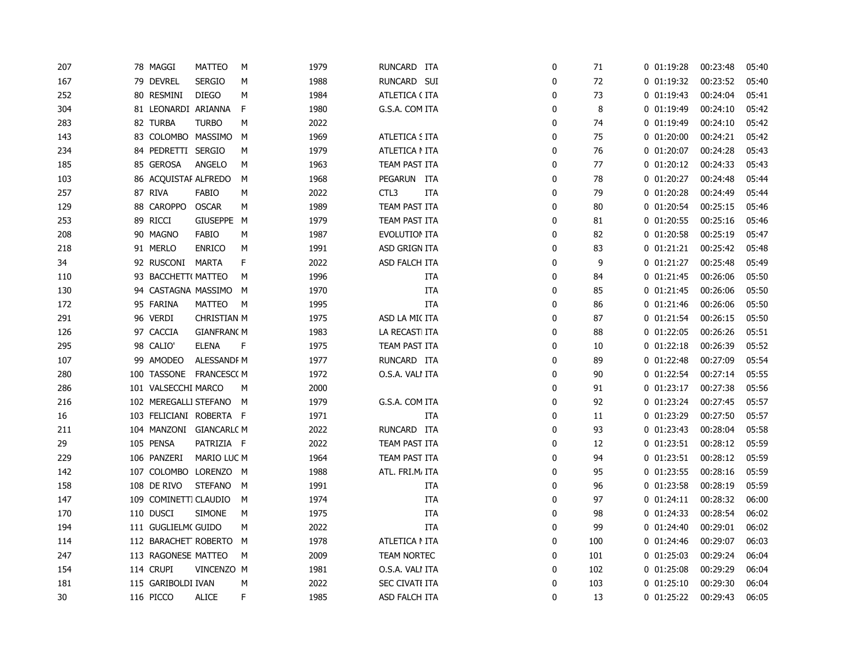| 207 | 78 MAGGI                | <b>MATTEO</b>     | M | 1979 | RUNCARD ITA          |            | 0 | 71  | $0$ $01:19:28$ | 00:23:48 | 05:40 |
|-----|-------------------------|-------------------|---|------|----------------------|------------|---|-----|----------------|----------|-------|
| 167 | 79 DEVREL               | <b>SERGIO</b>     | M | 1988 | RUNCARD SUI          |            | 0 | 72  | $0$ $01:19:32$ | 00:23:52 | 05:40 |
| 252 | 80 RESMINI              | <b>DIEGO</b>      | M | 1984 | ATLETICA (ITA        |            | 0 | 73  | $0$ 01:19:43   | 00:24:04 | 05:41 |
| 304 | 81 LEONARDI ARIANNA     |                   | F | 1980 | G.S.A. COM ITA       |            | 0 | 8   | $0$ $01:19:49$ | 00:24:10 | 05:42 |
| 283 | 82 TURBA                | <b>TURBO</b>      | M | 2022 |                      |            | 0 | 74  | 0 01:19:49     | 00:24:10 | 05:42 |
| 143 | 83 COLOMBO MASSIMO      |                   | M | 1969 | ATLETICA S ITA       |            | 0 | 75  | $0$ $01:20:00$ | 00:24:21 | 05:42 |
| 234 | 84 PEDRETTI SERGIO      |                   | М | 1979 | ATLETICA NITA        |            | 0 | 76  | $0$ $01:20:07$ | 00:24:28 | 05:43 |
| 185 | 85 GEROSA               | ANGELO            | М | 1963 | TEAM PAST ITA        |            | 0 | 77  | $0$ $01:20:12$ | 00:24:33 | 05:43 |
| 103 | 86 ACQUISTAF ALFREDO    |                   | М | 1968 | PEGARUN ITA          |            | 0 | 78  | $0$ $01:20:27$ | 00:24:48 | 05:44 |
| 257 | 87 RIVA                 | FABIO             | М | 2022 | CTL3                 | <b>ITA</b> | 0 | 79  | $0$ $01:20:28$ | 00:24:49 | 05:44 |
| 129 | 88 CAROPPO              | <b>OSCAR</b>      | M | 1989 | TEAM PAST ITA        |            | 0 | 80  | 0 01:20:54     | 00:25:15 | 05:46 |
| 253 | 89 RICCI                | GIUSEPPE M        |   | 1979 | TEAM PAST ITA        |            | 0 | 81  | $0$ $01:20:55$ | 00:25:16 | 05:46 |
| 208 | 90 MAGNO                | <b>FABIO</b>      | М | 1987 | <b>EVOLUTION ITA</b> |            | 0 | 82  | $0$ $01:20:58$ | 00:25:19 | 05:47 |
| 218 | 91 MERLO                | <b>ENRICO</b>     | М | 1991 | ASD GRIGN ITA        |            | 0 | 83  | 0 01:21:21     | 00:25:42 | 05:48 |
| 34  | 92 RUSCONI              | MARTA             | F | 2022 | ASD FALCH ITA        |            | 0 | 9   | $0$ $01:21:27$ | 00:25:48 | 05:49 |
| 110 | 93 BACCHETT( MATTEO     |                   | М | 1996 |                      | <b>ITA</b> | 0 | 84  | $0$ $01:21:45$ | 00:26:06 | 05:50 |
| 130 | 94 CASTAGNA MASSIMO     |                   | M | 1970 |                      | <b>ITA</b> | 0 | 85  | $0$ $01:21:45$ | 00:26:06 | 05:50 |
| 172 | 95 FARINA               | <b>MATTEO</b>     | М | 1995 |                      | ITA        | 0 | 86  | 0 01:21:46     | 00:26:06 | 05:50 |
| 291 | 96 VERDI                | CHRISTIAN M       |   | 1975 | ASD LA MI(ITA        |            | 0 | 87  | 0 01:21:54     | 00:26:15 | 05:50 |
| 126 | 97 CACCIA               | <b>GIANFRAN(M</b> |   | 1983 | LA RECASTI ITA       |            | 0 | 88  | $0$ $01:22:05$ | 00:26:26 | 05:51 |
| 295 | 98 CALIO'               | <b>ELENA</b>      | F | 1975 | TEAM PAST ITA        |            | 0 | 10  | $0$ $01:22:18$ | 00:26:39 | 05:52 |
| 107 | 99 AMODEO               | ALESSANDF M       |   | 1977 | RUNCARD ITA          |            | 0 | 89  | $0$ $01:22:48$ | 00:27:09 | 05:54 |
| 280 | 100 TASSONE             | FRANCESC( M       |   | 1972 | O.S.A. VALI ITA      |            | 0 | 90  | 0 01:22:54     | 00:27:14 | 05:55 |
| 286 | 101 VALSECCHI MARCO     |                   | М | 2000 |                      |            | 0 | 91  | $0$ $01:23:17$ | 00:27:38 | 05:56 |
| 216 | 102 MEREGALLI STEFANO   |                   | м | 1979 | G.S.A. COM ITA       |            | 0 | 92  | 0 01:23:24     | 00:27:45 | 05:57 |
| 16  | 103 FELICIANI ROBERTA F |                   |   | 1971 |                      | <b>ITA</b> | 0 | 11  | $0$ $01:23:29$ | 00:27:50 | 05:57 |
| 211 | 104 MANZONI GIANCARLC M |                   |   | 2022 | RUNCARD ITA          |            | 0 | 93  | $0$ $01:23:43$ | 00:28:04 | 05:58 |
| 29  | 105 PENSA               | PATRIZIA F        |   | 2022 | TEAM PAST ITA        |            | 0 | 12  | $0$ $01:23:51$ | 00:28:12 | 05:59 |
| 229 | 106 PANZERI             | MARIO LUC M       |   | 1964 | TEAM PAST ITA        |            | 0 | 94  | $0$ $01:23:51$ | 00:28:12 | 05:59 |
| 142 | 107 COLOMBO LORENZO     |                   | M | 1988 | ATL. FRI.M, ITA      |            | 0 | 95  | $0$ $01:23:55$ | 00:28:16 | 05:59 |
| 158 | 108 DE RIVO             | <b>STEFANO</b>    | М | 1991 |                      | ITA        | 0 | 96  | $0$ $01:23:58$ | 00:28:19 | 05:59 |
| 147 | 109 COMINETTI CLAUDIO   |                   | М | 1974 |                      | <b>ITA</b> | 0 | 97  | 0 01:24:11     | 00:28:32 | 06:00 |
| 170 | 110 DUSCI               | <b>SIMONE</b>     | М | 1975 |                      | <b>ITA</b> | 0 | 98  | 0 01:24:33     | 00:28:54 | 06:02 |
| 194 | 111 GUGLIELM(GUIDO      |                   | М | 2022 |                      | ITA        | 0 | 99  | 0 01:24:40     | 00:29:01 | 06:02 |
| 114 | 112 BARACHET ROBERTO M  |                   |   | 1978 | ATLETICA NITA        |            | 0 | 100 | 0 01:24:46     | 00:29:07 | 06:03 |
| 247 | 113 RAGONESE MATTEO     |                   | М | 2009 | TEAM NORTEC          |            | 0 | 101 | $0$ $01:25:03$ | 00:29:24 | 06:04 |
| 154 | 114 CRUPI               | VINCENZO M        |   | 1981 | O.S.A. VALI ITA      |            | 0 | 102 | $0$ $01:25:08$ | 00:29:29 | 06:04 |
| 181 | 115 GARIBOLDI IVAN      |                   | М | 2022 | SEC CIVATI ITA       |            | 0 | 103 | $0$ $01:25:10$ | 00:29:30 | 06:04 |
| 30  | 116 PICCO               | <b>ALICE</b>      | F | 1985 | ASD FALCH ITA        |            | 0 | 13  | $0$ $01:25:22$ | 00:29:43 | 06:05 |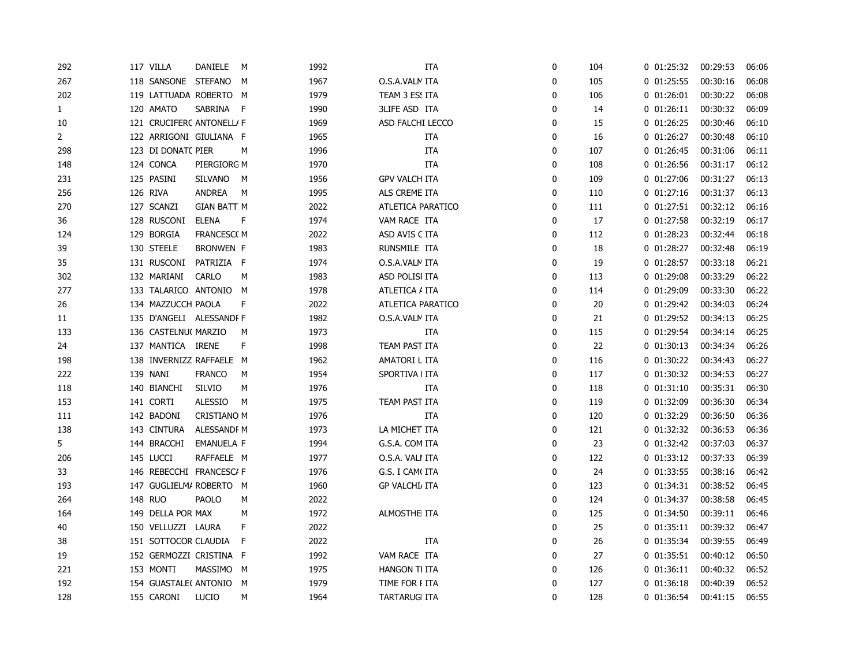| 292          | 117 VILLA                 | DANIELE            | M   | 1992 | <b>ITA</b>            | 0 | 104 | 0 01:25:32     | 00:29:53 | 06:06 |
|--------------|---------------------------|--------------------|-----|------|-----------------------|---|-----|----------------|----------|-------|
| 267          | 118 SANSONE STEFANO       |                    | M   | 1967 | O.S.A.VALN ITA        | 0 | 105 | $0$ $01:25:55$ | 00:30:16 | 06:08 |
| 202          | 119 LATTUADA ROBERTO M    |                    |     | 1979 | TEAM 3 ESS ITA        | 0 | 106 | $0$ $01:26:01$ | 00:30:22 | 06:08 |
| $\mathbf{1}$ | 120 AMATO                 | SABRINA            | - F | 1990 | <b>3LIFE ASD ITA</b>  | 0 | 14  | 0 01:26:11     | 00:30:32 | 06:09 |
| 10           | 121 CRUCIFERC ANTONELL/ F |                    |     | 1969 | ASD FALCHI LECCO      | 0 | 15  | $0$ $01:26:25$ | 00:30:46 | 06:10 |
| 2            | 122 ARRIGONI GIULIANA F   |                    |     | 1965 | ITA                   | 0 | 16  | $0$ $01:26:27$ | 00:30:48 | 06:10 |
| 298          | 123 DI DONATC PIER        |                    | М   | 1996 | <b>ITA</b>            | 0 | 107 | $0$ $01:26:45$ | 00:31:06 | 06:11 |
| 148          | 124 CONCA                 | PIERGIORG M        |     | 1970 | <b>ITA</b>            | 0 | 108 | $0$ $01:26:56$ | 00:31:17 | 06:12 |
| 231          | 125 PASINI                | <b>SILVANO</b>     | M   | 1956 | <b>GPV VALCH ITA</b>  | 0 | 109 | $0$ $01:27:06$ | 00:31:27 | 06:13 |
| 256          | 126 RIVA                  | <b>ANDREA</b>      | M   | 1995 | ALS CREME ITA         | 0 | 110 | 0 01:27:16     | 00:31:37 | 06:13 |
| 270          | 127 SCANZI                | <b>GIAN BATT M</b> |     | 2022 | ATLETICA PARATICO     | 0 | 111 | $0$ $01:27:51$ | 00:32:12 | 06:16 |
| 36           | 128 RUSCONI               | <b>ELENA</b>       | F   | 1974 | VAM RACE ITA          | 0 | 17  | $0$ $01:27:58$ | 00:32:19 | 06:17 |
| 124          | 129 BORGIA                | <b>FRANCESC(M</b>  |     | 2022 | ASD AVIS C ITA        | 0 | 112 | $0$ $01:28:23$ | 00:32:44 | 06:18 |
| 39           | 130 STEELE                | BRONWEN F          |     | 1983 | RUNSMILE ITA          | 0 | 18  | $0$ $01:28:27$ | 00:32:48 | 06:19 |
| 35           | 131 RUSCONI               | PATRIZIA F         |     | 1974 | O.S.A.VALN ITA        | 0 | 19  | $0$ $01:28:57$ | 00:33:18 | 06:21 |
| 302          | 132 MARIANI               | <b>CARLO</b>       | M   | 1983 | ASD POLISI ITA        | 0 | 113 | $0$ $01:29:08$ | 00:33:29 | 06:22 |
| 277          | 133 TALARICO ANTONIO      |                    | м   | 1978 | ATLETICA / ITA        | 0 | 114 | 0 01:29:09     | 00:33:30 | 06:22 |
| 26           | 134 MAZZUCCH PAOLA        |                    | F   | 2022 | ATLETICA PARATICO     | 0 | 20  | $0$ $01:29:42$ | 00:34:03 | 06:24 |
| 11           | 135 D'ANGELI ALESSANDI F  |                    |     | 1982 | O.S.A.VALN ITA        | 0 | 21  | $0$ $01:29:52$ | 00:34:13 | 06:25 |
| 133          | 136 CASTELNU( MARZIO      |                    | М   | 1973 | <b>ITA</b>            | 0 | 115 | 0 01:29:54     | 00:34:14 | 06:25 |
| 24           | 137 MANTICA IRENE         |                    | F   | 1998 | TEAM PAST ITA         | 0 | 22  | $0$ $01:30:13$ | 00:34:34 | 06:26 |
| 198          | 138 INVERNIZZ RAFFAELE M  |                    |     | 1962 | AMATORI L ITA         | 0 | 116 | 0 01:30:22     | 00:34:43 | 06:27 |
| 222          | 139 NANI                  | <b>FRANCO</b>      | М   | 1954 | SPORTIVA I ITA        | 0 | 117 | 0 01:30:32     | 00:34:53 | 06:27 |
| 118          | 140 BIANCHI               | <b>SILVIO</b>      | M   | 1976 | ITA                   | 0 | 118 | $0$ $01:31:10$ | 00:35:31 | 06:30 |
| 153          | 141 CORTI                 | <b>ALESSIO</b>     | M   | 1975 | TEAM PAST ITA         | 0 | 119 | 0 01:32:09     | 00:36:30 | 06:34 |
| 111          | 142 BADONI                | CRISTIANO M        |     | 1976 | <b>ITA</b>            | 0 | 120 | 0 01:32:29     | 00:36:50 | 06:36 |
| 138          | 143 CINTURA               | ALESSANDF M        |     | 1973 | LA MICHET ITA         | 0 | 121 | 0 01:32:32     | 00:36:53 | 06:36 |
| 5            | 144 BRACCHI               | <b>EMANUELA F</b>  |     | 1994 | G.S.A. COM ITA        | 0 | 23  | 0 01:32:42     | 00:37:03 | 06:37 |
| 206          | 145 LUCCI                 | RAFFAELE M         |     | 1977 | O.S.A. VALI ITA       | 0 | 122 | $0$ $01:33:12$ | 00:37:33 | 06:39 |
| 33           | 146 REBECCHI FRANCESC/ F  |                    |     | 1976 | G.S. I CAM(ITA        | 0 | 24  | $0$ $01:33:55$ | 00:38:16 | 06:42 |
| 193          | 147 GUGLIELM/ ROBERTO M   |                    |     | 1960 | <b>GP VALCHI, ITA</b> | 0 | 123 | $0$ $01:34:31$ | 00:38:52 | 06:45 |
| 264          | 148 RUO                   | PAOLO              | М   | 2022 |                       | 0 | 124 | 0 01:34:37     | 00:38:58 | 06:45 |
| 164          | 149 DELLA POR MAX         |                    | М   | 1972 | ALMOSTHE ITA          | 0 | 125 | $0$ $01:34:50$ | 00:39:11 | 06:46 |
| 40           | 150 VELLUZZI LAURA        |                    | F   | 2022 |                       | 0 | 25  | $0$ $01:35:11$ | 00:39:32 | 06:47 |
| 38           | 151 SOTTOCOR CLAUDIA      |                    | F   | 2022 | <b>ITA</b>            | 0 | 26  | 0 01:35:34     | 00:39:55 | 06:49 |
| 19           | 152 GERMOZZI CRISTINA F   |                    |     | 1992 | VAM RACE ITA          | 0 | 27  | $0$ $01:35:51$ | 00:40:12 | 06:50 |
| 221          | 153 MONTI                 | MASSIMO            | M   | 1975 | <b>HANGON TI ITA</b>  | 0 | 126 | 0 01:36:11     | 00:40:32 | 06:52 |
| 192          | 154 GUASTALE( ANTONIO     |                    | M   | 1979 | TIME FOR I ITA        | 0 | 127 | $0$ $01:36:18$ | 00:40:39 | 06:52 |
| 128          | 155 CARONI                | <b>LUCIO</b>       | M   | 1964 | <b>TARTARUGI ITA</b>  | 0 | 128 | 0 01:36:54     | 00:41:15 | 06:55 |
|              |                           |                    |     |      |                       |   |     |                |          |       |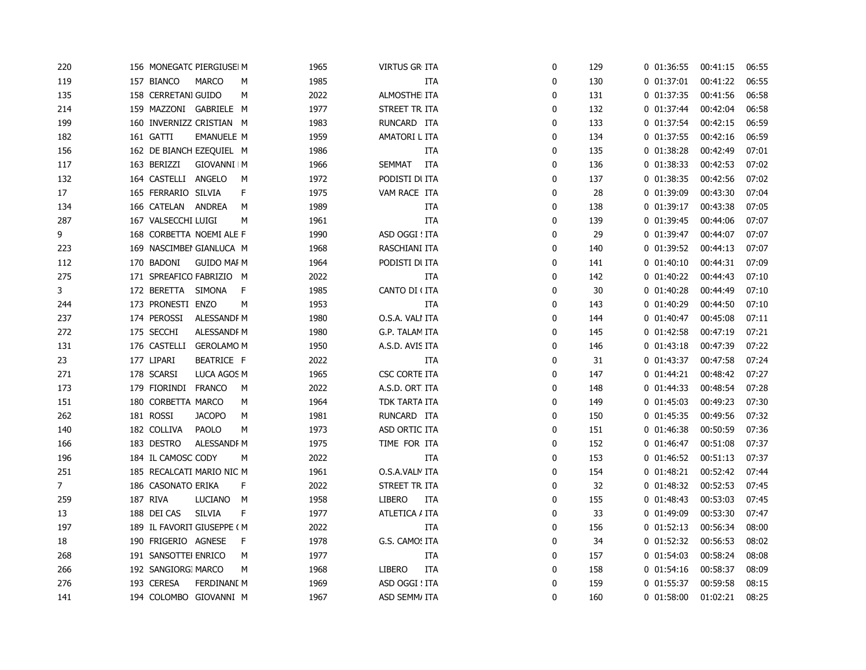| 220            | 156 MONEGATC PIERGIUSEI M  |                    |   | 1965 | <b>VIRTUS GR ITA</b> | 0 | 129 | 0 01:36:55     | 00:41:15 | 06:55 |
|----------------|----------------------------|--------------------|---|------|----------------------|---|-----|----------------|----------|-------|
| 119            | 157 BIANCO                 | <b>MARCO</b>       | М | 1985 | ITA                  | 0 | 130 | 0 01:37:01     | 00:41:22 | 06:55 |
| 135            | 158 CERRETANI GUIDO        |                    | M | 2022 | ALMOSTHE ITA         | 0 | 131 | 0 01:37:35     | 00:41:56 | 06:58 |
| 214            | 159 MAZZONI GABRIELE M     |                    |   | 1977 | STREET TR ITA        | 0 | 132 | 0 01:37:44     | 00:42:04 | 06:58 |
| 199            | 160 INVERNIZZ CRISTIAN M   |                    |   | 1983 | RUNCARD ITA          | 0 | 133 | 0 01:37:54     | 00:42:15 | 06:59 |
| 182            | 161 GATTI                  | <b>EMANUELE M</b>  |   | 1959 | AMATORI L ITA        | 0 | 134 | $0$ $01:37:55$ | 00:42:16 | 06:59 |
| 156            | 162 DE BIANCH EZEQUIEL M   |                    |   | 1986 | ITA                  | 0 | 135 | $0$ $01:38:28$ | 00:42:49 | 07:01 |
| 117            | 163 BERIZZI                | GIOVANNI M         |   | 1966 | <b>SEMMAT</b><br>ITA | 0 | 136 | 0 01:38:33     | 00:42:53 | 07:02 |
| 132            | 164 CASTELLI ANGELO        |                    | М | 1972 | PODISTI DI ITA       | 0 | 137 | 0 01:38:35     | 00:42:56 | 07:02 |
| 17             | 165 FERRARIO SILVIA        |                    | F | 1975 | VAM RACE ITA         | 0 | 28  | 0 01:39:09     | 00:43:30 | 07:04 |
| 134            | 166 CATELAN                | <b>ANDREA</b>      | М | 1989 | ITA                  | 0 | 138 | $0$ $01:39:17$ | 00:43:38 | 07:05 |
| 287            | 167 VALSECCHI LUIGI        |                    | M | 1961 | ITA                  | 0 | 139 | 0 01:39:45     | 00:44:06 | 07:07 |
| 9              | 168 CORBETTA NOEMI ALE F   |                    |   | 1990 | ASD OGGI ! ITA       | 0 | 29  | 0 01:39:47     | 00:44:07 | 07:07 |
| 223            | 169 NASCIMBEI GIANLUCA M   |                    |   | 1968 | RASCHIANI ITA        | 0 | 140 | 0 01:39:52     | 00:44:13 | 07:07 |
| 112            | 170 BADONI                 | <b>GUIDO MAI M</b> |   | 1964 | PODISTI DI ITA       | 0 | 141 | $0$ $01:40:10$ | 00:44:31 | 07:09 |
| 275            | 171 SPREAFICO FABRIZIO M   |                    |   | 2022 | <b>ITA</b>           | 0 | 142 | $0$ $01:40:22$ | 00:44:43 | 07:10 |
| 3              | 172 BERETTA SIMONA         |                    | F | 1985 | CANTO DI (ITA        | 0 | 30  | $0$ $01:40:28$ | 00:44:49 | 07:10 |
| 244            | 173 PRONESTI ENZO          |                    | M | 1953 | ITA                  | 0 | 143 | 0 01:40:29     | 00:44:50 | 07:10 |
| 237            | 174 PEROSSI                | ALESSANDF M        |   | 1980 | O.S.A. VALI ITA      | 0 | 144 | 0 01:40:47     | 00:45:08 | 07:11 |
| 272            | 175 SECCHI                 | ALESSANDF M        |   | 1980 | G.P. TALAM ITA       | 0 | 145 | $0$ $01:42:58$ | 00:47:19 | 07:21 |
| 131            | 176 CASTELLI               | <b>GEROLAMO M</b>  |   | 1950 | A.S.D. AVIS ITA      | 0 | 146 | $0$ $01:43:18$ | 00:47:39 | 07:22 |
| 23             | 177 LIPARI                 | BEATRICE F         |   | 2022 | ITA                  | 0 | 31  | 0 01:43:37     | 00:47:58 | 07:24 |
| 271            | 178 SCARSI                 | LUCA AGOS M        |   | 1965 | <b>CSC CORTE ITA</b> | 0 | 147 | 0 01:44:21     | 00:48:42 | 07:27 |
| 173            | 179 FIORINDI FRANCO        |                    | М | 2022 | A.S.D. ORT. ITA      | 0 | 148 | $0$ $01:44:33$ | 00:48:54 | 07:28 |
| 151            | 180 CORBETTA MARCO         |                    | М | 1964 | TDK TARTA ITA        | 0 | 149 | $0$ $01:45:03$ | 00:49:23 | 07:30 |
| 262            | 181 ROSSI                  | <b>JACOPO</b>      | М | 1981 | RUNCARD ITA          | 0 | 150 | 0 01:45:35     | 00:49:56 | 07:32 |
| 140            | 182 COLLIVA                | <b>PAOLO</b>       | М | 1973 | ASD ORTIC ITA        | 0 | 151 | 0 01:46:38     | 00:50:59 | 07:36 |
| 166            | 183 DESTRO                 | ALESSANDF M        |   | 1975 | TIME FOR ITA         | 0 | 152 | 0 01:46:47     | 00:51:08 | 07:37 |
| 196            | 184 IL CAMOSC CODY         |                    | М | 2022 | <b>ITA</b>           | 0 | 153 | $0$ $01:46:52$ | 00:51:13 | 07:37 |
| 251            | 185 RECALCATI MARIO NIC M  |                    |   | 1961 | O.S.A.VALN ITA       | 0 | 154 | $0$ $01:48:21$ | 00:52:42 | 07:44 |
| 7 <sup>7</sup> | 186 CASONATO ERIKA         |                    | F | 2022 | STREET TR ITA        | 0 | 32  | $0$ $01:48:32$ | 00:52:53 | 07:45 |
| 259            | 187 RIVA                   | LUCIANO            | M | 1958 | LIBERO<br>ITA        | 0 | 155 | $0$ $01:48:43$ | 00:53:03 | 07:45 |
| 13             | 188 DEI CAS                | <b>SILVIA</b>      | F | 1977 | ATLETICA / ITA       | 0 | 33  | 0 01:49:09     | 00:53:30 | 07:47 |
| 197            | 189 IL FAVORIT GIUSEPPE (M |                    |   | 2022 | ITA                  | 0 | 156 | $0$ $01:52:13$ | 00:56:34 | 08:00 |
| 18             | 190 FRIGERIO AGNESE        |                    | F | 1978 | G.S. CAMO! ITA       | 0 | 34  | $0$ $01:52:32$ | 00:56:53 | 08:02 |
| 268            | 191 SANSOTTEI ENRICO       |                    | М | 1977 | <b>ITA</b>           | 0 | 157 | 0 01:54:03     | 00:58:24 | 08:08 |
| 266            | 192 SANGIORGI MARCO        |                    | М | 1968 | <b>LIBERO</b><br>ITA | 0 | 158 | $0$ $01:54:16$ | 00:58:37 | 08:09 |
| 276            | 193 CERESA                 | FERDINANI M        |   | 1969 | ASD OGGI ! ITA       | 0 | 159 | 0 01:55:37     | 00:59:58 | 08:15 |
| 141            | 194 COLOMBO GIOVANNI M     |                    |   | 1967 | ASD SEMM/ ITA        | 0 | 160 | $0$ $01:58:00$ | 01:02:21 | 08:25 |
|                |                            |                    |   |      |                      |   |     |                |          |       |